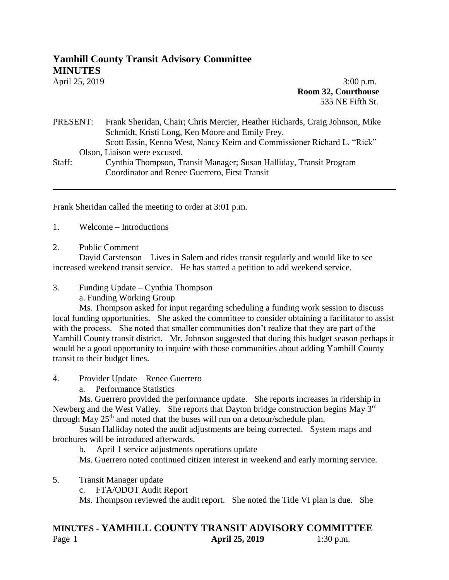## **Yamhill County Transit Advisory Committee MINUTES**

April 25, 2019 **3:00 p.m. Room 32, Courthouse** 535 NE Fifth St.

## PRESENT: Frank Sheridan, Chair; Chris Mercier, Heather Richards, Craig Johnson, Mike Schmidt, Kristi Long, Ken Moore and Emily Frey. Scott Essin, Kenna West, Nancy Keim and Commissioner Richard L. "Rick" Olson, Liaison were excused. Staff: Cynthia Thompson, Transit Manager; Susan Halliday, Transit Program

Coordinator and Renee Guerrero, First Transit

Frank Sheridan called the meeting to order at 3:01 p.m.

- 1. Welcome Introductions
- 2. Public Comment

David Carstenson – Lives in Salem and rides transit regularly and would like to see increased weekend transit service. He has started a petition to add weekend service.

3. Funding Update – Cynthia Thompson

a. Funding Working Group

Ms. Thompson asked for input regarding scheduling a funding work session to discuss local funding opportunities. She asked the committee to consider obtaining a facilitator to assist with the process. She noted that smaller communities don't realize that they are part of the Yamhill County transit district. Mr. Johnson suggested that during this budget season perhaps it would be a good opportunity to inquire with those communities about adding Yamhill County transit to their budget lines.

- 4. Provider Update Renee Guerrero
	- a. Performance Statistics

Ms. Guerrero provided the performance update. She reports increases in ridership in Newberg and the West Valley. She reports that Dayton bridge construction begins May 3<sup>rd</sup> through May  $25<sup>th</sup>$  and noted that the buses will run on a detour/schedule plan.

Susan Halliday noted the audit adjustments are being corrected. System maps and brochures will be introduced afterwards.

b. April 1 service adjustments operations update

Ms. Guerrero noted continued citizen interest in weekend and early morning service.

- 5. Transit Manager update
	- c. FTA/ODOT Audit Report

Ms. Thompson reviewed the audit report. She noted the Title VI plan is due. She

## **MINUTES - YAMHILL COUNTY TRANSIT ADVISORY COMMITTEE** Page 1 **April 25, 2019** 1:30 p.m.